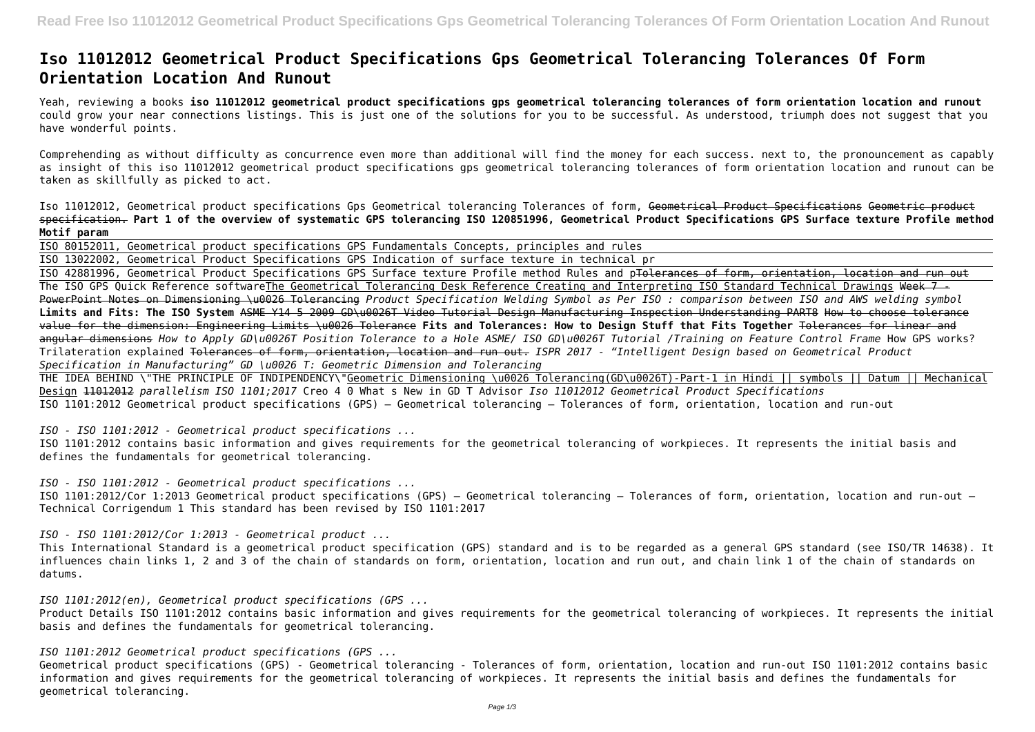## **Iso 11012012 Geometrical Product Specifications Gps Geometrical Tolerancing Tolerances Of Form Orientation Location And Runout**

Yeah, reviewing a books **iso 11012012 geometrical product specifications gps geometrical tolerancing tolerances of form orientation location and runout** could grow your near connections listings. This is just one of the solutions for you to be successful. As understood, triumph does not suggest that you have wonderful points.

Comprehending as without difficulty as concurrence even more than additional will find the money for each success. next to, the pronouncement as capably as insight of this iso 11012012 geometrical product specifications gps geometrical tolerancing tolerances of form orientation location and runout can be taken as skillfully as picked to act.

Iso 11012012, Geometrical product specifications Gps Geometrical tolerancing Tolerances of form, Geometrical Product Specifications Geometric product specification. **Part 1 of the overview of systematic GPS tolerancing ISO 120851996, Geometrical Product Specifications GPS Surface texture Profile method Motif param**

ISO 80152011, Geometrical product specifications GPS Fundamentals Concepts, principles and rules ISO 13022002, Geometrical Product Specifications GPS Indication of surface texture in technical pr ISO 42881996, Geometrical Product Specifications GPS Surface texture Profile method Rules and pTolerances of form, orientation, location and run out The ISO GPS Quick Reference softwareThe Geometrical Tolerancing Desk Reference Creating and Interpreting ISO Standard Technical Drawings Week 7 PowerPoint Notes on Dimensioning \u0026 Tolerancing *Product Specification Welding Symbol as Per ISO : comparison between ISO and AWS welding symbol* **Limits and Fits: The ISO System** ASME Y14 5 2009 GD\u0026T Video Tutorial Design Manufacturing Inspection Understanding PART8 How to choose tolerance value for the dimension: Engineering Limits \u0026 Tolerance **Fits and Tolerances: How to Design Stuff that Fits Together** Tolerances for linear and angular dimensions *How to Apply GD\u0026T Position Tolerance to a Hole ASME/ ISO GD\u0026T Tutorial /Training on Feature Control Frame* How GPS works? Trilateration explained Tolerances of form, orientation, location and run out. *ISPR 2017 - "Intelligent Design based on Geometrical Product Specification in Manufacturing" GD \u0026 T: Geometric Dimension and Tolerancing*

THE IDEA BEHIND \"THE PRINCIPLE OF INDIPENDENCY\"Geometric Dimensioning \u0026 Tolerancing(GD\u0026T)-Part-1 in Hindi || symbols || Datum || Mechanical Design 11012012 *parallelism ISO 1101;2017* Creo 4 0 What s New in GD T Advisor *Iso 11012012 Geometrical Product Specifications* ISO 1101:2012 Geometrical product specifications (GPS) — Geometrical tolerancing — Tolerances of form, orientation, location and run-out

*ISO - ISO 1101:2012 - Geometrical product specifications ...*

ISO 1101:2012 contains basic information and gives requirements for the geometrical tolerancing of workpieces. It represents the initial basis and defines the fundamentals for geometrical tolerancing.

*ISO - ISO 1101:2012 - Geometrical product specifications ...* ISO 1101:2012/Cor 1:2013 Geometrical product specifications (GPS) — Geometrical tolerancing — Tolerances of form, orientation, location and run-out — Technical Corrigendum 1 This standard has been revised by ISO 1101:2017

*ISO - ISO 1101:2012/Cor 1:2013 - Geometrical product ...* This International Standard is a geometrical product specification (GPS) standard and is to be regarded as a general GPS standard (see ISO/TR 14638). It influences chain links 1, 2 and 3 of the chain of standards on form, orientation, location and run out, and chain link 1 of the chain of standards on datums.

*ISO 1101:2012(en), Geometrical product specifications (GPS ...* Product Details ISO 1101:2012 contains basic information and gives requirements for the geometrical tolerancing of workpieces. It represents the initial basis and defines the fundamentals for geometrical tolerancing.

*ISO 1101:2012 Geometrical product specifications (GPS ...*

Geometrical product specifications (GPS) - Geometrical tolerancing - Tolerances of form, orientation, location and run-out ISO 1101:2012 contains basic information and gives requirements for the geometrical tolerancing of workpieces. It represents the initial basis and defines the fundamentals for geometrical tolerancing.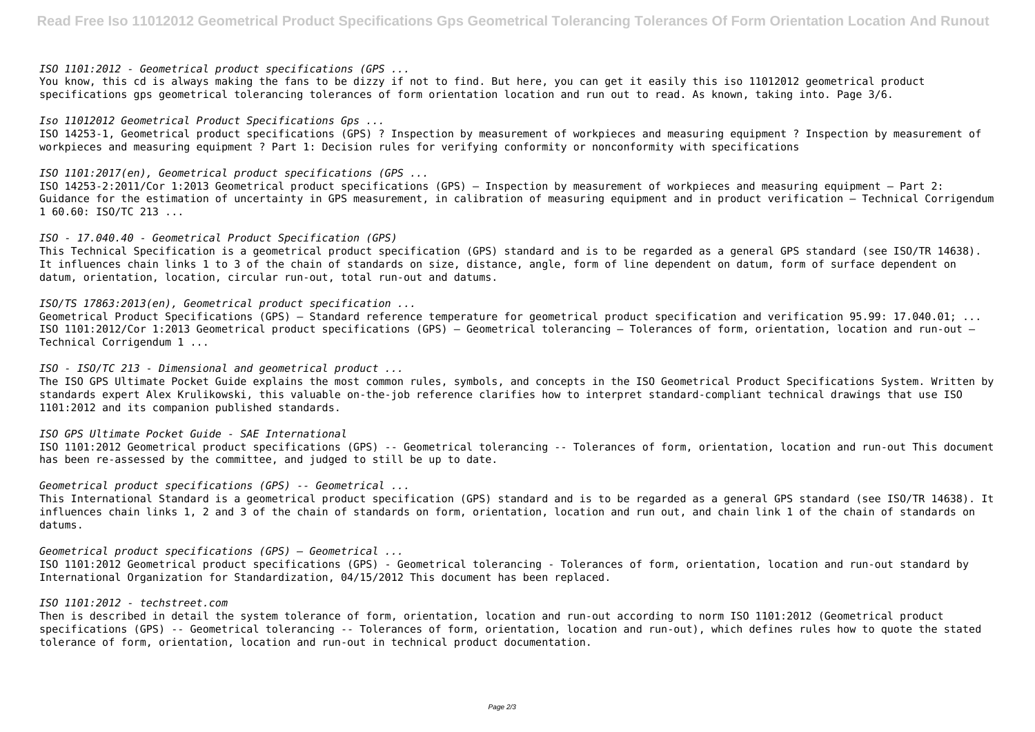*ISO 1101:2012 - Geometrical product specifications (GPS ...*

You know, this cd is always making the fans to be dizzy if not to find. But here, you can get it easily this iso 11012012 geometrical product specifications gps geometrical tolerancing tolerances of form orientation location and run out to read. As known, taking into. Page 3/6.

*Iso 11012012 Geometrical Product Specifications Gps ...* ISO 14253-1, Geometrical product specifications (GPS) ? Inspection by measurement of workpieces and measuring equipment ? Inspection by measurement of workpieces and measuring equipment ? Part 1: Decision rules for verifying conformity or nonconformity with specifications

*ISO 1101:2017(en), Geometrical product specifications (GPS ...*

ISO 14253-2:2011/Cor 1:2013 Geometrical product specifications (GPS) — Inspection by measurement of workpieces and measuring equipment — Part 2: Guidance for the estimation of uncertainty in GPS measurement, in calibration of measuring equipment and in product verification — Technical Corrigendum 1 60.60: ISO/TC 213 ...

*ISO - 17.040.40 - Geometrical Product Specification (GPS)* This Technical Specification is a geometrical product specification (GPS) standard and is to be regarded as a general GPS standard (see ISO/TR 14638). It influences chain links 1 to 3 of the chain of standards on size, distance, angle, form of line dependent on datum, form of surface dependent on datum, orientation, location, circular run-out, total run-out and datums.

*ISO/TS 17863:2013(en), Geometrical product specification ...*

Geometrical Product Specifications (GPS) — Standard reference temperature for geometrical product specification and verification 95.99: 17.040.01; ... ISO 1101:2012/Cor 1:2013 Geometrical product specifications (GPS) — Geometrical tolerancing — Tolerances of form, orientation, location and run-out — Technical Corrigendum 1 ...

*ISO - ISO/TC 213 - Dimensional and geometrical product ...*

The ISO GPS Ultimate Pocket Guide explains the most common rules, symbols, and concepts in the ISO Geometrical Product Specifications System. Written by standards expert Alex Krulikowski, this valuable on-the-job reference clarifies how to interpret standard-compliant technical drawings that use ISO 1101:2012 and its companion published standards.

*ISO GPS Ultimate Pocket Guide - SAE International* ISO 1101:2012 Geometrical product specifications (GPS) -- Geometrical tolerancing -- Tolerances of form, orientation, location and run-out This document has been re-assessed by the committee, and judged to still be up to date.

*Geometrical product specifications (GPS) -- Geometrical ...*

This International Standard is a geometrical product specification (GPS) standard and is to be regarded as a general GPS standard (see ISO/TR 14638). It influences chain links 1, 2 and 3 of the chain of standards on form, orientation, location and run out, and chain link 1 of the chain of standards on datums.

*Geometrical product specifications (GPS) — Geometrical ...*

ISO 1101:2012 Geometrical product specifications (GPS) - Geometrical tolerancing - Tolerances of form, orientation, location and run-out standard by International Organization for Standardization, 04/15/2012 This document has been replaced.

## *ISO 1101:2012 - techstreet.com*

Then is described in detail the system tolerance of form, orientation, location and run-out according to norm ISO 1101:2012 (Geometrical product specifications (GPS) -- Geometrical tolerancing -- Tolerances of form, orientation, location and run-out), which defines rules how to quote the stated tolerance of form, orientation, location and run-out in technical product documentation.